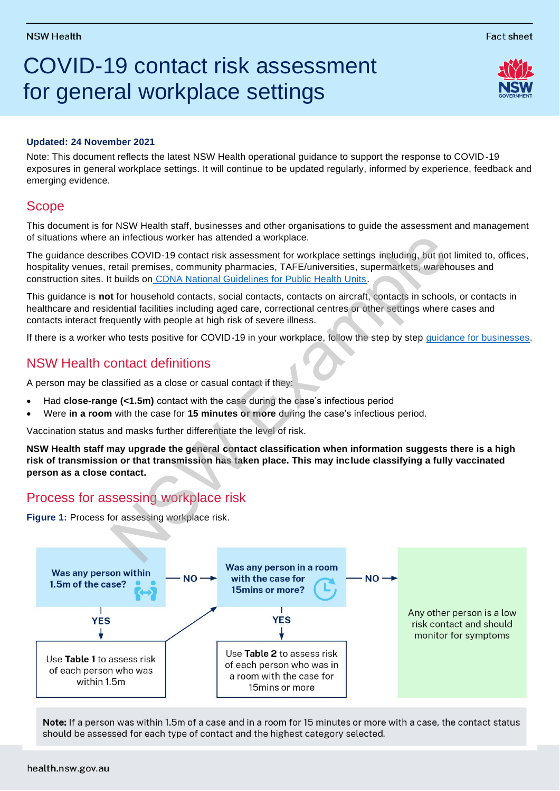$\overline{a}$ 

# COVID-19 contact risk assessment for general workplace settings

### **Updated: 24 November 2021**

Note: This document reflects the latest NSW Health operational guidance to support the response to COVID -19 exposures in general workplace settings. It will continue to be updated regularly, informed by experience, feedback and emerging evidence.

# Scope

This document is for NSW Health staff, businesses and other organisations to guide the assessment and management of situations where an infectious worker has attended a workplace.

The guidance describes COVID-19 contact risk assessment for workplace settings including, but not limited to, offices, hospitality venues, retail premises, community pharmacies, TAFE/universities, supermarkets, warehouses and construction sites. It builds on CDNA National Guidelines for Public Health Units.

This guidance is **not** for household contacts, social contacts, contacts on aircraft, contacts in schools, or contacts in healthcare and residential facilities including aged care, correctional centres or other settings where cases and contacts interact frequently with people at high risk of severe illness.

If there is a worker who tests positive for COVID-19 in your workplace, follow the step by step [guidance for businesses.](https://www.nsw.gov.au/covid-19/business/linked-with-positive-worker-case)

## NSW Health contact definitions

A person may be classified as a close or casual contact if they:

- Had **close-range (<1.5m)** contact with the case during the case's infectious period
- Were **in a room** with the case for **15 minutes or more** during the case's infectious period.

Vaccination status and masks further differentiate the level of risk.

**NSW Health staff may upgrade the general contact classification when information suggests there is a high risk of transmission or that transmission has taken place. This may include classifying a fully vaccinated person as a close contact.** an infectious worker has attended a work[p](https://www1.health.gov.au/internet/main/publishing.nsf/Content/cdna-song-novel-coronavirus.htm)lace.<br>
The COVID-19 contact risk assessment for workplace settings including, but not the teatil premises, community pharmacies, TAFE/universities, supermarkets, wareh<br>
the indigenc

## Process for assessing workplace risk

**Figure 1:** Process for assessing workplace risk.



Note: If a person was within 1.5m of a case and in a room for 15 minutes or more with a case, the contact status should be assessed for each type of contact and the highest category selected.